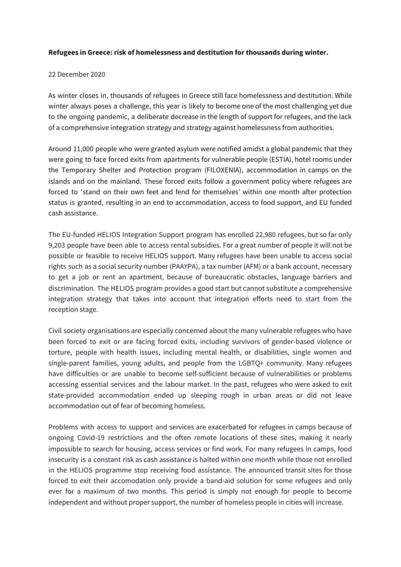## **Refugees in Greece: risk of homelessness and destitution for thousands during winter.**

## 22 December 2020

As winter closes in, thousands of refugees in Greece still face homelessness and destitution. While winter always poses a challenge, this year is likely to become one of the most challenging yet due to the ongoing pandemic, a deliberate decrease in the length of support for refugees, and the lack of a comprehensive integration strategy and strategy against homelessness from authorities.

Around 11,000 people who were granted asylum were notified amidst a global pandemic that they were going to face forced exits from apartments for vulnerable people (ESTIA), hotel rooms under the Temporary Shelter and Protection program (FILOXENIA), accommodation in camps on the islands and on the mainland. These forced exits follow a government policy where refugees are forced to 'stand on their own feet and fend for themselves' within one month after protection status is granted, resulting in an end to accommodation, access to food support, and EU funded cash assistance.

The EU-funded HELIOS Integration Support program has enrolled 22,980 refugees, but so far only 9,203 people have been able to access rental subsidies. For a great number of people it will not be possible or feasible to receive HELIOS support. Many refugees have been unable to access social rights such as a social security number (PAAYPA), a tax number (AFM) or a bank account, necessary to get a job or rent an apartment, because of bureaucratic obstacles, language barriers and discrimination. The HELIOS program provides a good start but cannot substitute a comprehensive integration strategy that takes into account that integration efforts need to start from the reception stage.

Civil society organisations are especially concerned about the many vulnerable refugees who have been forced to exit or are facing forced exits, including survivors of gender-based violence or torture, people with health issues, including mental health, or disabilities, single women and single-parent families, young adults, and people from the LGBTQ+ community. Many refugees have difficulties or are unable to become self-sufficient because of vulnerabilities or problems accessing essential services and the labour market. In the past, refugees who were asked to exit state-provided accommodation ended up sleeping rough in urban areas or did not leave accommodation out of fear of becoming homeless.

Problems with access to support and services are exacerbated for refugees in camps because of ongoing Covid-19 restrictions and the often remote locations of these sites, making it nearly impossible to search for housing, access services or find work. For many refugees in camps, food insecurity is a constant risk as cash assistance is halted within one month while those not enrolled in the HELIOS programme stop receiving food assistance. The announced transit sites for those forced to exit their accomodation only provide a band-aid solution for some refugees and only ever for a maximum of two months. This period is simply not enough for people to become independent and without proper support, the number of homeless people in cities will increase.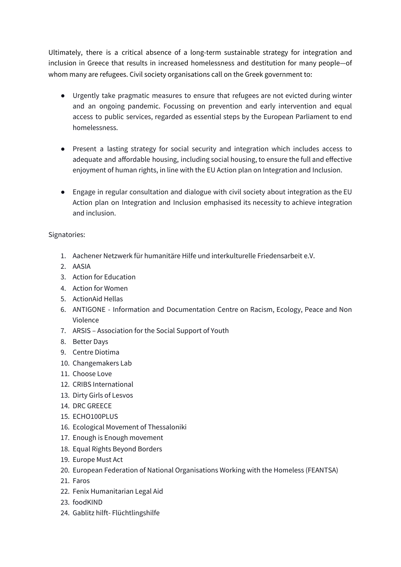Ultimately, there is a critical absence of a long-term sustainable strategy for integration and inclusion in Greece that results in increased homelessness and destitution for many people—of whom many are refugees. Civil society organisations call on the Greek government to:

- Urgently take pragmatic measures to ensure that refugees are not evicted during winter and an ongoing pandemic. Focussing on prevention and early intervention and equal access to public services, regarded as essential steps by the European Parliament to end homelessness.
- Present a lasting strategy for social security and integration which includes access to adequate and affordable housing, including social housing, to ensure the full and effective enjoyment of human rights, in line with the EU Action plan on Integration and Inclusion.
- Engage in regular consultation and dialogue with civil society about integration as the EU Action plan on Integration and Inclusion emphasised its necessity to achieve integration and inclusion.

## Signatories:

- 1. Aachener Netzwerk für humanitäre Hilfe und interkulturelle Friedensarbeit e.V.
- 2. AASIA
- 3. Action for Education
- 4. Action for Women
- 5. ActionAid Hellas
- 6. ANTIGONE Information and Documentation Centre on Racism, Ecology, Peace and Non Violence
- 7. ARSIS Association for the Social Support of Youth
- 8. Better Days
- 9. Centre Diotima
- 10. Changemakers Lab
- 11. Choose Love
- 12. CRIBS International
- 13. Dirty Girls of Lesvos
- 14. DRC GREECE
- 15. ECHO100PLUS
- 16. Ecological Movement of Thessaloniki
- 17. Enough is Enough movement
- 18. Equal Rights Beyond Borders
- 19. Europe Must Act
- 20. European Federation of National Organisations Working with the Homeless (FEANTSA)
- 21. Faros
- 22. Fenix Humanitarian Legal Aid
- 23. foodKIND
- 24. Gablitz hilft- Flüchtlingshilfe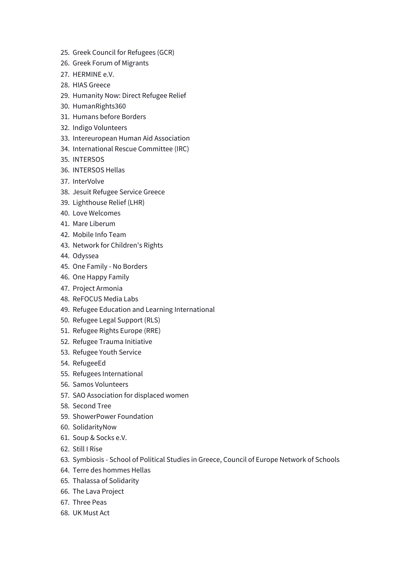- 25. Greek Council for Refugees (GCR)
- 26. Greek Forum of Migrants
- 27. HERMINE e.V.
- 28. HIAS Greece
- 29. Humanity Now: Direct Refugee Relief
- 30. HumanRights360
- 31. Humans before Borders
- 32. Indigo Volunteers
- 33. Intereuropean Human Aid Association
- 34. International Rescue Committee (IRC)
- 35. INTERSOS
- 36. INTERSOS Hellas
- 37. InterVolve
- 38. Jesuit Refugee Service Greece
- 39. Lighthouse Relief (LHR)
- 40. Love Welcomes
- 41. Mare Liberum
- 42. Mobile Info Team
- 43. Network for Children's Rights
- 44. Odyssea
- 45. One Family No Borders
- 46. One Happy Family
- 47. Project Armonia
- 48. ReFOCUS Media Labs
- 49. Refugee Education and Learning International
- 50. Refugee Legal Support (RLS)
- 51. Refugee Rights Europe (RRE)
- 52. Refugee Trauma Initiative
- 53. Refugee Youth Service
- 54. RefugeeEd
- 55. Refugees International
- 56. Samos Volunteers
- 57. SAO Association for displaced women
- 58. Second Tree
- 59. ShowerPower Foundation
- 60. SolidarityNow
- 61. Soup & Socks e.V.
- 62. Still I Rise
- 63. Symbiosis School of Political Studies in Greece, Council of Europe Network of Schools
- 64. Terre des hommes Hellas
- 65. Thalassa of Solidarity
- 66. The Lava Project
- 67. Three Peas
- 68. UK Must Act